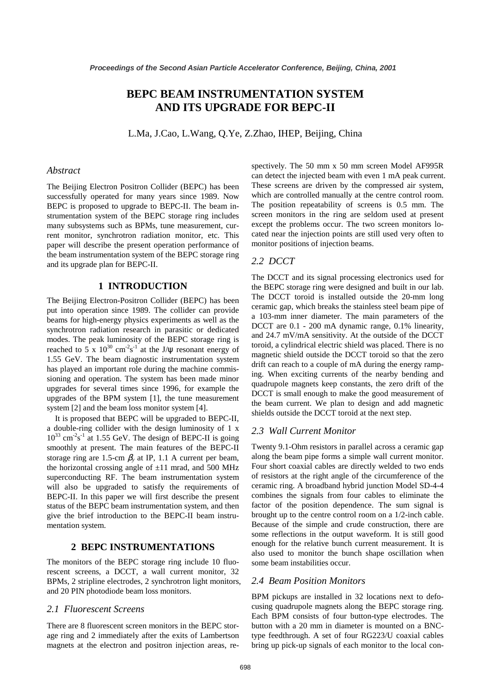# **BEPC BEAM INSTRUMENTATION SYSTEM AND ITS UPGRADE FOR BEPC-II**

L.Ma, J.Cao, L.Wang, Q.Ye, Z.Zhao, IHEP, Beijing, China

# *Abstract*

The Beijing Electron Positron Collider (BEPC) has been successfully operated for many years since 1989. Now BEPC is proposed to upgrade to BEPC-II. The beam instrumentation system of the BEPC storage ring includes many subsystems such as BPMs, tune measurement, current monitor, synchrotron radiation monitor, etc. This paper will describe the present operation performance of the beam instrumentation system of the BEPC storage ring and its upgrade plan for BEPC-II.

# **1 INTRODUCTION**

The Beijing Electron-Positron Collider (BEPC) has been put into operation since 1989. The collider can provide beams for high-energy physics experiments as well as the synchrotron radiation research in parasitic or dedicated modes. The peak luminosity of the BEPC storage ring is reached to 5 x  $10^{30}$  cm<sup>-2</sup>s<sup>-1</sup> at the J/ $\psi$  resonant energy of 1.55 GeV. The beam diagnostic instrumentation system has played an important role during the machine commissioning and operation. The system has been made minor upgrades for several times since 1996, for example the upgrades of the BPM system [1], the tune measurement system [2] and the beam loss monitor system [4].

It is proposed that BEPC will be upgraded to BEPC-II, a double-ring collider with the design luminosity of 1 x  $10^{33}$  cm<sup>-2</sup>s<sup>-1</sup> at 1.55 GeV. The design of BEPC-II is going smoothly at present. The main features of the BEPC-II storage ring are 1.5-cm  $\beta$ <sup>*y*</sup> at IP, 1.1 A current per beam, the horizontal crossing angle of  $\pm 11$  mrad, and 500 MHz superconducting RF. The beam instrumentation system will also be upgraded to satisfy the requirements of BEPC-II. In this paper we will first describe the present status of the BEPC beam instrumentation system, and then give the brief introduction to the BEPC-II beam instrumentation system.

#### **2 BEPC INSTRUMENTATIONS**

The monitors of the BEPC storage ring include 10 fluorescent screens, a DCCT, a wall current monitor, 32 BPMs, 2 stripline electrodes, 2 synchrotron light monitors, and 20 PIN photodiode beam loss monitors.

#### *2.1 Fluorescent Screens*

There are 8 fluorescent screen monitors in the BEPC storage ring and 2 immediately after the exits of Lambertson magnets at the electron and positron injection areas, respectively. The 50 mm x 50 mm screen Model AF995R can detect the injected beam with even 1 mA peak current. These screens are driven by the compressed air system, which are controlled manually at the centre control room. The position repeatability of screens is 0.5 mm. The screen monitors in the ring are seldom used at present except the problems occur. The two screen monitors located near the injection points are still used very often to monitor positions of injection beams.

# *2.2 DCCT*

The DCCT and its signal processing electronics used for the BEPC storage ring were designed and built in our lab. The DCCT toroid is installed outside the 20-mm long ceramic gap, which breaks the stainless steel beam pipe of a 103-mm inner diameter. The main parameters of the DCCT are 0.1 - 200 mA dynamic range, 0.1% linearity, and 24.7 mV/mA sensitivity. At the outside of the DCCT toroid, a cylindrical electric shield was placed. There is no magnetic shield outside the DCCT toroid so that the zero drift can reach to a couple of mA during the energy ramping. When exciting currents of the nearby bending and quadrupole magnets keep constants, the zero drift of the DCCT is small enough to make the good measurement of the beam current. We plan to design and add magnetic shields outside the DCCT toroid at the next step.

#### *2.3 Wall Current Monitor*

Twenty 9.1-Ohm resistors in parallel across a ceramic gap along the beam pipe forms a simple wall current monitor. Four short coaxial cables are directly welded to two ends of resistors at the right angle of the circumference of the ceramic ring. A broadband hybrid junction Model SD-4-4 combines the signals from four cables to eliminate the factor of the position dependence. The sum signal is brought up to the centre control room on a 1/2-inch cable. Because of the simple and crude construction, there are some reflections in the output waveform. It is still good enough for the relative bunch current measurement. It is also used to monitor the bunch shape oscillation when some beam instabilities occur.

# *2.4 Beam Position Monitors*

BPM pickups are installed in 32 locations next to defocusing quadrupole magnets along the BEPC storage ring. Each BPM consists of four button-type electrodes. The button with a 20 mm in diameter is mounted on a BNCtype feedthrough. A set of four RG223/U coaxial cables bring up pick-up signals of each monitor to the local con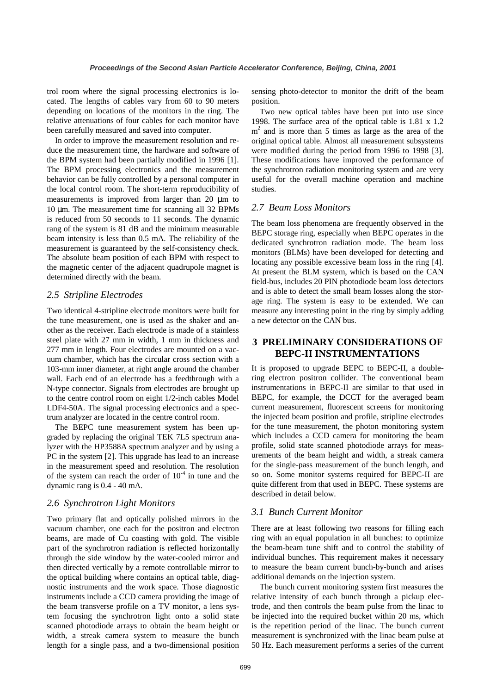trol room where the signal processing electronics is located. The lengths of cables vary from 60 to 90 meters depending on locations of the monitors in the ring. The relative attenuations of four cables for each monitor have been carefully measured and saved into computer.

In order to improve the measurement resolution and reduce the measurement time, the hardware and software of the BPM system had been partially modified in 1996 [1]. The BPM processing electronics and the measurement behavior can be fully controlled by a personal computer in the local control room. The short-term reproducibility of measurements is improved from larger than 20 µm to 10 µm. The measurement time for scanning all 32 BPMs is reduced from 50 seconds to 11 seconds. The dynamic rang of the system is 81 dB and the minimum measurable beam intensity is less than 0.5 mA. The reliability of the measurement is guaranteed by the self-consistency check. The absolute beam position of each BPM with respect to the magnetic center of the adjacent quadrupole magnet is determined directly with the beam.

### *2.5 Stripline Electrodes*

Two identical 4-stripline electrode monitors were built for the tune measurement, one is used as the shaker and another as the receiver. Each electrode is made of a stainless steel plate with 27 mm in width, 1 mm in thickness and 277 mm in length. Four electrodes are mounted on a vacuum chamber, which has the circular cross section with a 103-mm inner diameter, at right angle around the chamber wall. Each end of an electrode has a feedthrough with a N-type connector. Signals from electrodes are brought up to the centre control room on eight 1/2-inch cables Model LDF4-50A. The signal processing electronics and a spectrum analyzer are located in the centre control room.

The BEPC tune measurement system has been upgraded by replacing the original TEK 7L5 spectrum analyzer with the HP3588A spectrum analyzer and by using a PC in the system [2]. This upgrade has lead to an increase in the measurement speed and resolution. The resolution of the system can reach the order of  $10^{-4}$  in tune and the dynamic rang is 0.4 - 40 mA.

#### *2.6 Synchrotron Light Monitors*

Two primary flat and optically polished mirrors in the vacuum chamber, one each for the positron and electron beams, are made of Cu coasting with gold. The visible part of the synchrotron radiation is reflected horizontally through the side window by the water-cooled mirror and then directed vertically by a remote controllable mirror to the optical building where contains an optical table, diagnostic instruments and the work space. Those diagnostic instruments include a CCD camera providing the image of the beam transverse profile on a TV monitor, a lens system focusing the synchrotron light onto a solid state scanned photodiode arrays to obtain the beam height or width, a streak camera system to measure the bunch length for a single pass, and a two-dimensional position sensing photo-detector to monitor the drift of the beam position.

Two new optical tables have been put into use since 1998. The surface area of the optical table is 1.81 x 1.2  $m<sup>2</sup>$  and is more than 5 times as large as the area of the original optical table. Almost all measurement subsystems were modified during the period from 1996 to 1998 [3]. These modifications have improved the performance of the synchrotron radiation monitoring system and are very useful for the overall machine operation and machine studies.

# *2.7 Beam Loss Monitors*

The beam loss phenomena are frequently observed in the BEPC storage ring, especially when BEPC operates in the dedicated synchrotron radiation mode. The beam loss monitors (BLMs) have been developed for detecting and locating any possible excessive beam loss in the ring [4]. At present the BLM system, which is based on the CAN field-bus, includes 20 PIN photodiode beam loss detectors and is able to detect the small beam losses along the storage ring. The system is easy to be extended. We can measure any interesting point in the ring by simply adding a new detector on the CAN bus.

# **3 PRELIMINARY CONSIDERATIONS OF BEPC-II INSTRUMENTATIONS**

It is proposed to upgrade BEPC to BEPC-II, a doublering electron positron collider. The conventional beam instrumentations in BEPC-II are similar to that used in BEPC, for example, the DCCT for the averaged beam current measurement, fluorescent screens for monitoring the injected beam position and profile, stripline electrodes for the tune measurement, the photon monitoring system which includes a CCD camera for monitoring the beam profile, solid state scanned photodiode arrays for measurements of the beam height and width, a streak camera for the single-pass measurement of the bunch length, and so on. Some monitor systems required for BEPC-II are quite different from that used in BEPC. These systems are described in detail below.

# *3.1 Bunch Current Monitor*

There are at least following two reasons for filling each ring with an equal population in all bunches: to optimize the beam-beam tune shift and to control the stability of individual bunches. This requirement makes it necessary to measure the beam current bunch-by-bunch and arises additional demands on the injection system.

The bunch current monitoring system first measures the relative intensity of each bunch through a pickup electrode, and then controls the beam pulse from the linac to be injected into the required bucket within 20 ms, which is the repetition period of the linac. The bunch current measurement is synchronized with the linac beam pulse at 50 Hz. Each measurement performs a series of the current